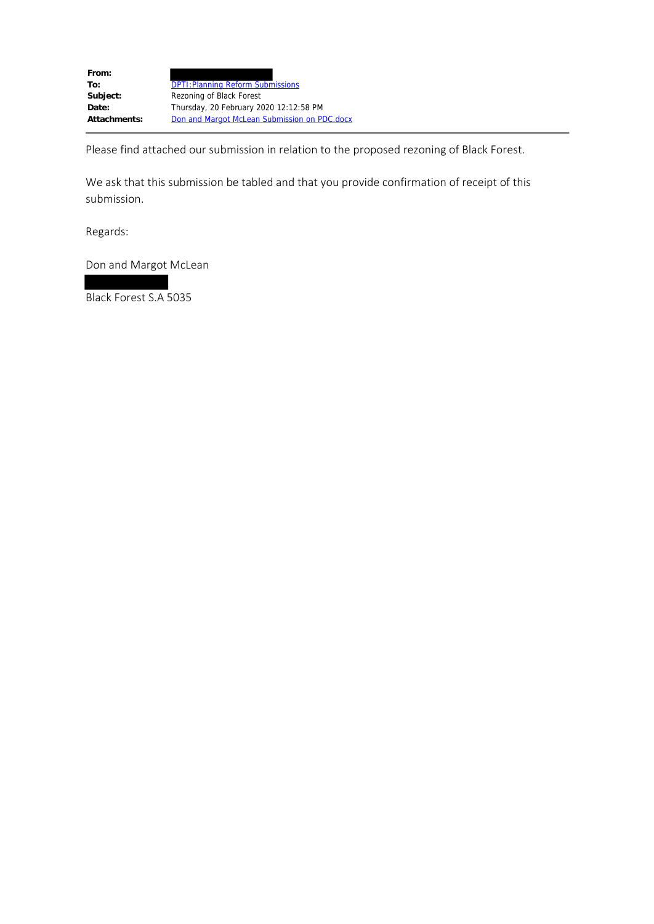| From:        |                                              |
|--------------|----------------------------------------------|
| To:          | <b>DPTI: Planning Reform Submissions</b>     |
| Subject:     | Rezoning of Black Forest                     |
| Date:        | Thursday, 20 February 2020 12:12:58 PM       |
| Attachments: | Don and Margot McLean Submission on PDC.docx |

Please find attached our submission in relation to the proposed rezoning of Black Forest.

We ask that this submission be tabled and that you provide confirmation of receipt of this submission.

Regards:

Don and Margot McLean

Black Forest S.A 5035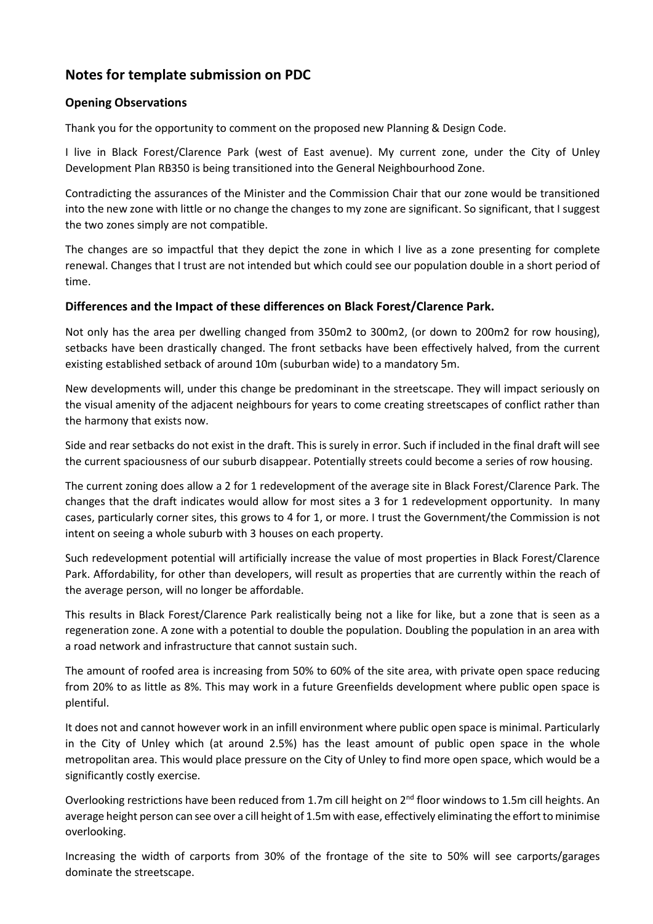# **Notes for template submission on PDC**

## **Opening Observations**

Thank you for the opportunity to comment on the proposed new Planning & Design Code.

I live in Black Forest/Clarence Park (west of East avenue). My current zone, under the City of Unley Development Plan RB350 is being transitioned into the General Neighbourhood Zone.

Contradicting the assurances of the Minister and the Commission Chair that our zone would be transitioned into the new zone with little or no change the changes to my zone are significant. So significant, that I suggest the two zones simply are not compatible.

The changes are so impactful that they depict the zone in which I live as a zone presenting for complete renewal. Changes that I trust are not intended but which could see our population double in a short period of time.

## **Differences and the Impact of these differences on Black Forest/Clarence Park.**

Not only has the area per dwelling changed from 350m2 to 300m2, (or down to 200m2 for row housing), setbacks have been drastically changed. The front setbacks have been effectively halved, from the current existing established setback of around 10m (suburban wide) to a mandatory 5m.

New developments will, under this change be predominant in the streetscape. They will impact seriously on the visual amenity of the adjacent neighbours for years to come creating streetscapes of conflict rather than the harmony that exists now.

Side and rear setbacks do not exist in the draft. This is surely in error. Such if included in the final draft will see the current spaciousness of our suburb disappear. Potentially streets could become a series of row housing.

The current zoning does allow a 2 for 1 redevelopment of the average site in Black Forest/Clarence Park. The changes that the draft indicates would allow for most sites a 3 for 1 redevelopment opportunity. In many cases, particularly corner sites, this grows to 4 for 1, or more. I trust the Government/the Commission is not intent on seeing a whole suburb with 3 houses on each property.

Such redevelopment potential will artificially increase the value of most properties in Black Forest/Clarence Park. Affordability, for other than developers, will result as properties that are currently within the reach of the average person, will no longer be affordable.

This results in Black Forest/Clarence Park realistically being not a like for like, but a zone that is seen as a regeneration zone. A zone with a potential to double the population. Doubling the population in an area with a road network and infrastructure that cannot sustain such.

The amount of roofed area is increasing from 50% to 60% of the site area, with private open space reducing from 20% to as little as 8%. This may work in a future Greenfields development where public open space is plentiful.

It does not and cannot however work in an infill environment where public open space is minimal. Particularly in the City of Unley which (at around 2.5%) has the least amount of public open space in the whole metropolitan area. This would place pressure on the City of Unley to find more open space, which would be a significantly costly exercise.

Overlooking restrictions have been reduced from 1.7m cill height on 2nd floor windows to 1.5m cill heights. An average height person can see over a cill height of 1.5m with ease, effectively eliminating the effort to minimise overlooking.

Increasing the width of carports from 30% of the frontage of the site to 50% will see carports/garages dominate the streetscape.